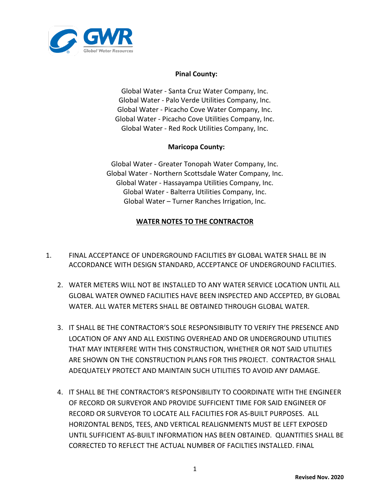

## **Pinal County:**

Global Water ‐ Santa Cruz Water Company, Inc. Global Water ‐ Palo Verde Utilities Company, Inc. Global Water ‐ Picacho Cove Water Company, Inc. Global Water ‐ Picacho Cove Utilities Company, Inc. Global Water - Red Rock Utilities Company, Inc.

## **Maricopa County:**

Global Water - Greater Tonopah Water Company, Inc. Global Water - Northern Scottsdale Water Company, Inc. Global Water - Hassayampa Utilities Company, Inc. Global Water - Balterra Utilities Company, Inc. Global Water – Turner Ranches Irrigation, Inc.

## **WATER NOTES TO THE CONTRACTOR**

- 1. FINAL ACCEPTANCE OF UNDERGROUND FACILITIES BY GLOBAL WATER SHALL BE IN ACCORDANCE WITH DESIGN STANDARD, ACCEPTANCE OF UNDERGROUND FACILITIES.
	- 2. WATER METERS WILL NOT BE INSTALLED TO ANY WATER SERVICE LOCATION UNTIL ALL GLOBAL WATER OWNED FACILITIES HAVE BEEN INSPECTED AND ACCEPTED, BY GLOBAL WATER. ALL WATER METERS SHALL BE OBTAINED THROUGH GLOBAL WATER.
	- 3. IT SHALL BE THE CONTRACTOR'S SOLE RESPONSIBIBLITY TO VERIFY THE PRESENCE AND LOCATION OF ANY AND ALL EXISTING OVERHEAD AND OR UNDERGROUND UTILITIES THAT MAY INTERFERE WITH THIS CONSTRUCTION, WHETHER OR NOT SAID UTILITIES ARE SHOWN ON THE CONSTRUCTION PLANS FOR THIS PROJECT. CONTRACTOR SHALL ADEQUATELY PROTECT AND MAINTAIN SUCH UTILITIES TO AVOID ANY DAMAGE.
	- 4. IT SHALL BE THE CONTRACTOR'S RESPONSIBILITY TO COORDINATE WITH THE ENGINEER OF RECORD OR SURVEYOR AND PROVIDE SUFFICIENT TIME FOR SAID ENGINEER OF RECORD OR SURVEYOR TO LOCATE ALL FACILITIES FOR AS-BUILT PURPOSES. ALL HORIZONTAL BENDS, TEES, AND VERTICAL REALIGNMENTS MUST BE LEFT EXPOSED UNTIL SUFFICIENT AS-BUILT INFORMATION HAS BEEN OBTAINED. QUANTITIES SHALL BE CORRECTED TO REFLECT THE ACTUAL NUMBER OF FACILTIES INSTALLED. FINAL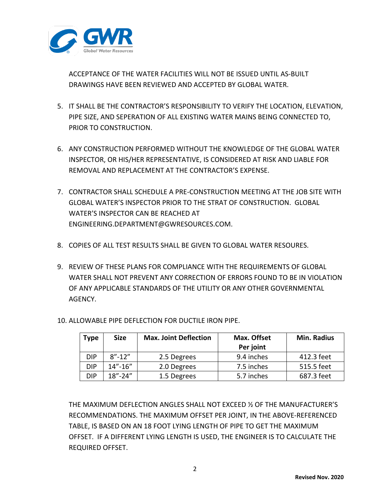

ACCEPTANCE OF THE WATER FACILITIES WILL NOT BE ISSUED UNTIL AS-BUILT DRAWINGS HAVE BEEN REVIEWED AND ACCEPTED BY GLOBAL WATER.

- 5. IT SHALL BE THE CONTRACTOR'S RESPONSIBILITY TO VERIFY THE LOCATION, ELEVATION, PIPE SIZE, AND SEPERATION OF ALL EXISTING WATER MAINS BEING CONNECTED TO, PRIOR TO CONSTRUCTION.
- 6. ANY CONSTRUCTION PERFORMED WITHOUT THE KNOWLEDGE OF THE GLOBAL WATER INSPECTOR, OR HIS/HER REPRESENTATIVE, IS CONSIDERED AT RISK AND LIABLE FOR REMOVAL AND REPLACEMENT AT THE CONTRACTOR'S EXPENSE.
- 7. CONTRACTOR SHALL SCHEDULE A PRE-CONSTRUCTION MEETING AT THE JOB SITE WITH GLOBAL WATER'S INSPECTOR PRIOR TO THE STRAT OF CONSTRUCTION. GLOBAL WATER'S INSPECTOR CAN BE REACHED AT ENGINEERING.DEPARTMENT@GWRESOURCES.COM.
- 8. COPIES OF ALL TEST RESULTS SHALL BE GIVEN TO GLOBAL WATER RESOURES.
- 9. REVIEW OF THESE PLANS FOR COMPLIANCE WITH THE REQUIREMENTS OF GLOBAL WATER SHALL NOT PREVENT ANY CORRECTION OF ERRORS FOUND TO BE IN VIOLATION OF ANY APPLICABLE STANDARDS OF THE UTILITY OR ANY OTHER GOVERNMENTAL AGENCY.
- 10. ALLOWABLE PIPE DEFLECTION FOR DUCTILE IRON PIPE.

| Type       | <b>Size</b>   | <b>Max. Joint Deflection</b> | Max. Offset | <b>Min. Radius</b> |
|------------|---------------|------------------------------|-------------|--------------------|
|            |               |                              | Per joint   |                    |
| DIP.       | $8'' - 12''$  | 2.5 Degrees                  | 9.4 inches  | 412.3 feet         |
| <b>DIP</b> | $14'' - 16''$ | 2.0 Degrees                  | 7.5 inches  | 515.5 feet         |
| <b>DIP</b> | $18" - 24"$   | 1.5 Degrees                  | 5.7 inches  | 687.3 feet         |

THE MAXIMUM DEFLECTION ANGLES SHALL NOT EXCEED ½ OF THE MANUFACTURER'S RECOMMENDATIONS. THE MAXIMUM OFFSET PER JOINT, IN THE ABOVE-REFERENCED TABLE, IS BASED ON AN 18 FOOT LYING LENGTH OF PIPE TO GET THE MAXIMUM OFFSET. IF A DIFFERENT LYING LENGTH IS USED, THE ENGINEER IS TO CALCULATE THE REQUIRED OFFSET.